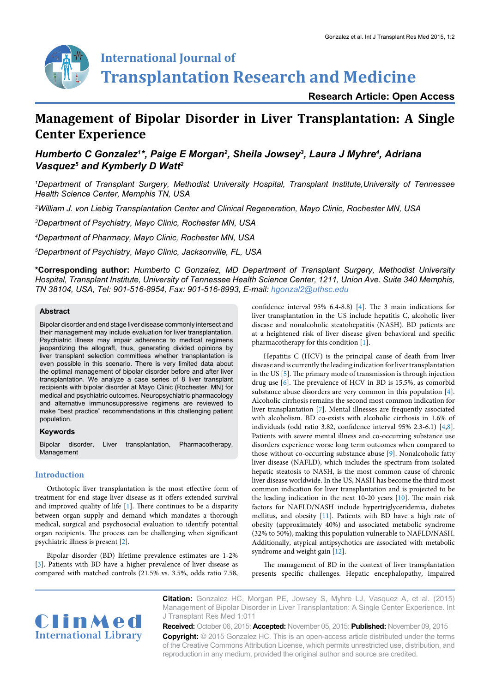

**Research Article: Open Access**

# **Management of Bipolar Disorder in Liver Transplantation: A Single Center Experience**

## *Humberto C Gonzalez1 \*, Paige E Morgan2 , Sheila Jowsey3 , Laura J Myhre4 , Adriana*  Vasquez<sup>5</sup> and Kymberly D Watt<sup>2</sup>

*1 Department of Transplant Surgery, Methodist University Hospital, Transplant Institute,University of Tennessee Health Science Center, Memphis TN, USA*

*2 William J. von Liebig Transplantation Center and Clinical Regeneration, Mayo Clinic, Rochester MN, USA*

*3 Department of Psychiatry, Mayo Clinic, Rochester MN, USA*

*4 Department of Pharmacy, Mayo Clinic, Rochester MN, USA*

*5 Department of Psychiatry, Mayo Clinic, Jacksonville, FL, USA*

**\*Corresponding author:** *Humberto C Gonzalez, MD Department of Transplant Surgery, Methodist University Hospital, Transplant Institute, University of Tennessee Health Science Center, 1211, Union Ave. Suite 340 Memphis, TN 38104, USA, Tel: 901-516-8954, Fax: 901-516-8993, E-mail: hgonzal2@uthsc.edu*

### **Abstract**

Bipolar disorder and end stage liver disease commonly intersect and their management may include evaluation for liver transplantation. Psychiatric illness may impair adherence to medical regimens jeopardizing the allograft, thus, generating divided opinions by liver transplant selection committees whether transplantation is even possible in this scenario. There is very limited data about the optimal management of bipolar disorder before and after liver transplantation. We analyze a case series of 8 liver transplant recipients with bipolar disorder at Mayo Clinic (Rochester, MN) for medical and psychiatric outcomes. Neuropsychiatric pharmacology and alternative immunosuppressive regimens are reviewed to make "best practice" recommendations in this challenging patient population.

#### **Keywords**

Bipolar disorder, Liver transplantation, Pharmacotherapy, Management

#### **Introduction**

Orthotopic liver transplantation is the most effective form of treatment for end stage liver disease as it offers extended survival and improved quality of life [\[1\]](#page-5-0). There continues to be a disparity between organ supply and demand which mandates a thorough medical, surgical and psychosocial evaluation to identify potential organ recipients. The process can be challenging when significant psychiatric illness is present [[2](#page-5-1)].

Bipolar disorder (BD) lifetime prevalence estimates are 1-2% [[3\]](#page-5-2). Patients with BD have a higher prevalence of liver disease as compared with matched controls (21.5% vs. 3.5%, odds ratio 7.58, confidence interval 95% 6.4-8.8) [[4\]](#page-5-3). The 3 main indications for liver transplantation in the US include hepatitis C, alcoholic liver disease and nonalcoholic steatohepatitis (NASH). BD patients are at a heightened risk of liver disease given behavioral and specific pharmacotherapy for this condition [\[1\]](#page-5-0).

Hepatitis C (HCV) is the principal cause of death from liver disease and is currently the leading indication for liver transplantation in the US [\[5\]](#page-5-4). The primary mode of transmission is through injection drug use [\[6](#page-5-5)]. The prevalence of HCV in BD is 15.5%, as comorbid substance abuse disorders are very common in this population [\[4\]](#page-5-3). Alcoholic cirrhosis remains the second most common indication for liver transplantation [\[7](#page-5-6)]. Mental illnesses are frequently associated with alcoholism. BD co-exists with alcoholic cirrhosis in 1.6% of individuals (odd ratio 3.82, confidence interval 95% 2.3-6.1) [[4](#page-5-3)[,8\]](#page-5-7). Patients with severe mental illness and co-occurring substance use disorders experience worse long term outcomes when compared to those without co-occurring substance abuse [[9](#page-5-8)]. Nonalcoholic fatty liver disease (NAFLD), which includes the spectrum from isolated hepatic steatosis to NASH, is the most common cause of chronic liver disease worldwide. In the US, NASH has become the third most common indication for liver transplantation and is projected to be the leading indication in the next 10-20 years [[10](#page-5-9)]. The main risk factors for NAFLD/NASH include hypertriglyceridemia, diabetes mellitus, and obesity [[11](#page-5-10)]. Patients with BD have a high rate of obesity (approximately 40%) and associated metabolic syndrome (32% to 50%), making this population vulnerable to NAFLD/NASH. Additionally, atypical antipsychotics are associated with metabolic syndrome and weight gain [[12\]](#page-5-11).

The management of BD in the context of liver transplantation presents specific challenges. Hepatic encephalopathy, impaired



**Citation:** Gonzalez HC, Morgan PE, Jowsey S, Myhre LJ, Vasquez A, et al. (2015) Management of Bipolar Disorder in Liver Transplantation: A Single Center Experience. Int J Transplant Res Med 1:011

**Received:** October 06, 2015: **Accepted:** November 05, 2015: **Published:** November 09, 2015 **Copyright:** © 2015 Gonzalez HC. This is an open-access article distributed under the terms of the Creative Commons Attribution License, which permits unrestricted use, distribution, and reproduction in any medium, provided the original author and source are credited.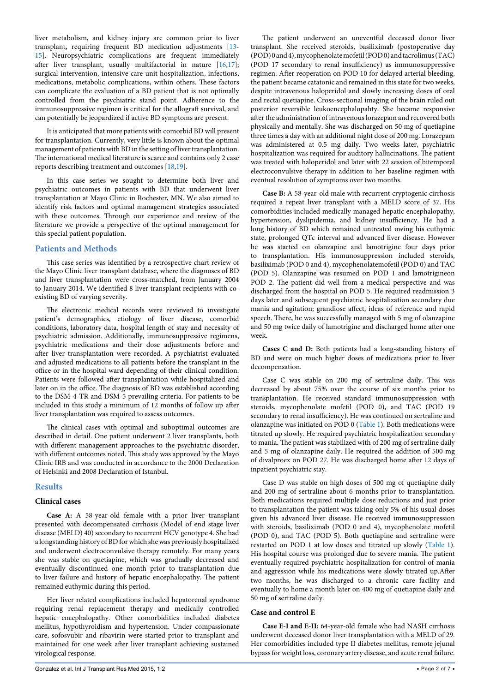liver metabolism, and kidney injury are common prior to liver transplant**,** requiring frequent BD medication adjustments [[13](#page-5-12)- [15](#page-5-13)]. Neuropsychiatric complications are frequent immediately after liver transplant, usually multifactorial in nature [\[16,](#page-5-14)[17](#page-5-15)]; surgical intervention, intensive care unit hospitalization, infections, medications, metabolic complications, within others. These factors can complicate the evaluation of a BD patient that is not optimally controlled from the psychiatric stand point. Adherence to the immunosuppressive regimen is critical for the allograft survival, and can potentially be jeopardized if active BD symptoms are present.

It is anticipated that more patients with comorbid BD will present for transplantation. Currently, very little is known about the optimal management of patients with BD in the setting of liver transplantation. The international medical literature is scarce and contains only 2 case reports describing treatment and outcomes [\[18](#page-5-16)[,19\]](#page-5-17).

In this case series we sought to determine both liver and psychiatric outcomes in patients with BD that underwent liver transplantation at Mayo Clinic in Rochester, MN. We also aimed to identify risk factors and optimal management strategies associated with these outcomes. Through our experience and review of the literature we provide a perspective of the optimal management for this special patient population.

#### **Patients and Methods**

This case series was identified by a retrospective chart review of the Mayo Clinic liver transplant database, where the diagnoses of BD and liver transplantation were cross-matched, from January 2004 to January 2014. We identified 8 liver transplant recipients with coexisting BD of varying severity.

The electronic medical records were reviewed to investigate patient's demographics, etiology of liver disease, comorbid conditions, laboratory data, hospital length of stay and necessity of psychiatric admission. Additionally, immunosuppressive regimens, psychiatric medications and their dose adjustments before and after liver transplantation were recorded. A psychiatrist evaluated and adjusted medications to all patients before the transplant in the office or in the hospital ward depending of their clinical condition. Patients were followed after transplantation while hospitalized and later on in the office. The diagnosis of BD was established according to the DSM-4-TR and DSM-5 prevailing criteria. For patients to be included in this study a minimum of 12 months of follow up after liver transplantation was required to assess outcomes.

The clinical cases with optimal and suboptimal outcomes are described in detail. One patient underwent 2 liver transplants, both with different management approaches to the psychiatric disorder, with different outcomes noted. This study was approved by the Mayo Clinic IRB and was conducted in accordance to the 2000 Declaration of Helsinki and 2008 Declaration of Istanbul.

#### **Results**

#### **Clinical cases**

**Case A:** A 58-year-old female with a prior liver transplant presented with decompensated cirrhosis (Model of end stage liver disease (MELD) 40) secondary to recurrent HCV genotype 4. She had a longstanding history of BD for which she was previously hospitalized and underwent electroconvulsive therapy remotely. For many years she was stable on quetiapine, which was gradually decreased and eventually discontinued one month prior to transplantation due to liver failure and history of hepatic encephalopathy. The patient remained euthymic during this period.

Her liver related complications included hepatorenal syndrome requiring renal replacement therapy and medically controlled hepatic encephalopathy. Other comorbidities included diabetes mellitus, hypothyroidism and hypertension. Under compassionate care, sofosvubir and ribavirin were started prior to transplant and maintained for one week after liver transplant achieving sustained virological response.

The patient underwent an uneventful deceased donor liver transplant. She received steroids, basiliximab (postoperative day (POD) 0 and 4), mycophenolate mofetil (POD 0) and tacrolimus (TAC) (POD 17 secondary to renal insufficiency) as immunosuppressive regimen. After reoperation on POD 10 for delayed arterial bleeding, the patient became catatonic and remained in this state for two weeks, despite intravenous haloperidol and slowly increasing doses of oral and rectal quetiapine. Cross-sectional imaging of the brain ruled out posterior reversible leukoencephalopahty. She became responsive after the administration of intravenous lorazepam and recovered both physically and mentally. She was discharged on 50 mg of quetiapine three times a day with an additional night dose of 200 mg. Lorazepam was administered at 0.5 mg daily. Two weeks later, psychiatric hospitalization was required for auditory hallucinations. The patient was treated with haloperidol and later with 22 session of bitemporal electroconvulsive therapy in addition to her baseline regimen with eventual resolution of symptoms over two months.

**Case B:** A 58-year-old male with recurrent cryptogenic cirrhosis required a repeat liver transplant with a MELD score of 37. His comorbidities included medically managed hepatic encephalopathy, hypertension, dyslipidemia, and kidney insufficiency. He had a long history of BD which remained untreated owing his euthymic state, prolonged QTc interval and advanced liver disease. However he was started on olanzapine and lamotrigine four days prior to transplantation. His immunosuppression included steroids, basiliximab (POD 0 and 4), mycophenolatemofetil (POD 0) and TAC (POD 5). Olanzapine was resumed on POD 1 and lamotrigineon POD 2. The patient did well from a medical perspective and was discharged from the hospital on POD 5. He required readmission 3 days later and subsequent psychiatric hospitalization secondary due mania and agitation; grandiose affect, ideas of reference and rapid speech. There, he was successfully managed with 5 mg of olanzapine and 50 mg twice daily of lamotrigine and discharged home after one week.

**Cases C and D:** Both patients had a long-standing history of BD and were on much higher doses of medications prior to liver decompensation.

Case C was stable on 200 mg of sertraline daily. This was decreased by about 75% over the course of six months prior to transplantation. He received standard immunosuppression with steroids, mycophenolate mofetil (POD 0), and TAC (POD 19 secondary to renal insufficiency). He was continued on sertraline and olanzapine was initiated on POD 0 ([Table 1](#page-2-0)). Both medications were titrated up slowly. He required psychiatric hospitalization secondary to mania. The patient was stabilized with of 200 mg of sertraline daily and 5 mg of olanzapine daily. He required the addition of 500 mg of divalproex on POD 27. He was discharged home after 12 days of inpatient psychiatric stay.

Case D was stable on high doses of 500 mg of quetiapine daily and 200 mg of sertraline about 6 months prior to transplantation. Both medications required multiple dose reductions and just prior to transplantation the patient was taking only 5% of his usual doses given his advanced liver disease. He received immunosuppression with steroids, basiliximab (POD 0 and 4), mycophenolate mofetil (POD 0), and TAC (POD 5). Both quetiapine and sertraline were restarted on POD 1 at low doses and titrated up slowly ([Table 1\)](#page-2-0). His hospital course was prolonged due to severe mania. The patient eventually required psychiatric hospitalization for control of mania and aggression while his medications were slowly titrated up.After two months, he was discharged to a chronic care facility and eventually to home a month later on 400 mg of quetiapine daily and 50 mg of sertraline daily.

#### **Case and control E**

**Case E-I and E-II:** 64-year-old female who had NASH cirrhosis underwent deceased donor liver transplantation with a MELD of 29. Her comorbidities included type II diabetes mellitus, remote jejunal bypass for weight loss, coronary artery disease, and acute renal failure.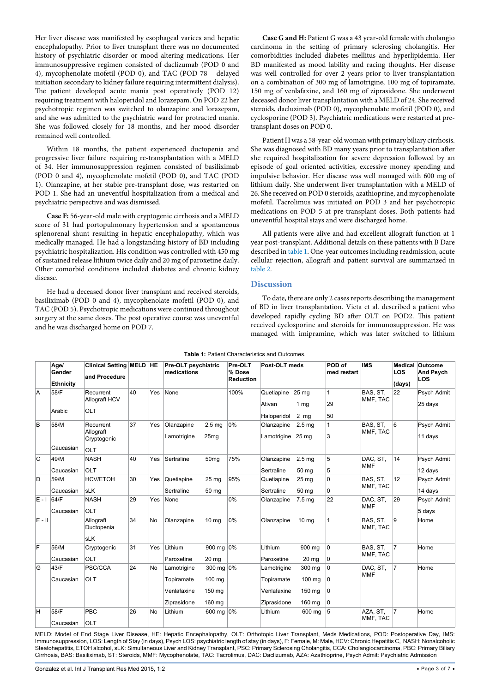Her liver disease was manifested by esophageal varices and hepatic encephalopathy. Prior to liver transplant there was no documented history of psychiatric disorder or mood altering medications. Her immunosuppressive regimen consisted of daclizumab (POD 0 and 4), mycophenolate mofetil (POD 0), and TAC (POD 78 – delayed initiation secondary to kidney failure requiring intermittent dialysis). The patient developed acute mania post operatively (POD 12) requiring treatment with haloperidol and lorazepam. On POD 22 her psychotropic regimen was switched to olanzapine and lorazepam, and she was admitted to the psychiatric ward for protracted mania. She was followed closely for 18 months, and her mood disorder remained well controlled.

Within 18 months, the patient experienced ductopenia and progressive liver failure requiring re-transplantation with a MELD of 34. Her immunosuppression regimen consisted of basiliximab (POD 0 and 4), mycophenolate mofetil (POD 0), and TAC (POD 1). Olanzapine, at her stable pre-transplant dose, was restarted on POD 1. She had an uneventful hospitalization from a medical and psychiatric perspective and was dismissed.

**Case F:** 56-year-old male with cryptogenic cirrhosis and a MELD score of 31 had portopulmonary hypertension and a spontaneous splenorenal shunt resulting in hepatic encephalopathy, which was medically managed. He had a longstanding history of BD including psychiatric hospitalization. His condition was controlled with 450 mg of sustained release lithium twice daily and 20 mg of paroxetine daily. Other comorbid conditions included diabetes and chronic kidney disease.

He had a deceased donor liver transplant and received steroids, basiliximab (POD 0 and 4), mycophenolate mofetil (POD 0), and TAC (POD 5). Psychotropic medications were continued throughout surgery at the same doses. The post operative course was uneventful and he was discharged home on POD 7.

**Case G and H:** Patient G was a 43 year-old female with cholangio carcinoma in the setting of primary sclerosing cholangitis. Her comorbidities included diabetes mellitus and hyperlipidemia. Her BD manifested as mood lability and racing thoughts. Her disease was well controlled for over 2 years prior to liver transplantation on a combination of 300 mg of lamotrigine, 100 mg of topiramate, 150 mg of venlafaxine, and 160 mg of ziprasidone. She underwent deceased donor liver transplantation with a MELD of 24. She received steroids, dacluzimab (POD 0), mycophenolate mofetil (POD 0), and cyclosporine (POD 3). Psychiatric medications were restarted at pretransplant doses on POD 0.

Patient H was a 58-year-old woman with primary biliary cirrhosis. She was diagnosed with BD many years prior to transplantation after she required hospitalization for severe depression followed by an episode of goal oriented activities, excessive money spending and impulsive behavior. Her disease was well managed with 600 mg of lithium daily. She underwent liver transplantation with a MELD of 26. She received on POD 0 steroids, azathioprine, and mycophenolate mofetil. Tacrolimus was initiated on POD 3 and her psychotropic medications on POD 5 at pre-transplant doses. Both patients had uneventful hospital stays and were discharged home.

All patients were alive and had excellent allograft function at 1 year post-transplant. Additional details on these patients with B Dare described in [table 1](#page-2-0). One-year outcomes including readmission, acute cellular rejection, allograft and patient survival are summarized in [table 2](#page-3-0).

#### **Discussion**

To date, there are only 2 cases reports describing the management of BD in liver transplantation. Vieta et al. described a patient who developed rapidly cycling BD after OLT on POD2. This patient received cyclosporine and steroids for immunosuppression. He was managed with imipramine, which was later switched to lithium

|         | Age/<br>Gender<br><b>Ethnicity</b> | <b>Clinical Setting MELD HE</b><br>and Procedure |    |           | Pre-OLT psychiatric<br>medications                      |                                         | Pre-OLT<br>% Dose<br><b>Reduction</b> | Post-OLT meds                                           |                                      | POD of<br>med restart | <b>IMS</b>             | LOS<br>(days)  | Medical Outcome<br><b>And Psych</b><br>LOS |
|---------|------------------------------------|--------------------------------------------------|----|-----------|---------------------------------------------------------|-----------------------------------------|---------------------------------------|---------------------------------------------------------|--------------------------------------|-----------------------|------------------------|----------------|--------------------------------------------|
| A       | 58/F<br>Arabic                     | Recurrent<br>Allograft HCV<br>OLT                | 40 | Yes       | None                                                    |                                         | 100%                                  | Quetiapine 25 mg<br>Ativan<br>Haloperidol               | 1 <sub>mg</sub><br>$2 \text{ mg}$    | 1<br>29<br>50         | BAS, ST.<br>MMF, TAC   | 22             | Psych Admit<br>25 days                     |
| В       | 58/M<br>Caucasian                  | Recurrent<br>Allograft<br>Cryptogenic<br>OLT     | 37 | Yes       | Olanzapine<br>Lamotrigine                               | 2.5 <sub>mg</sub><br>25 <sub>mg</sub>   | 0%                                    | Olanzapine<br>Lamotrigine 25 mg                         | 2.5 <sub>mg</sub>                    | 1<br>3                | BAS, ST.<br>MMF, TAC   | 6              | Psych Admit<br>11 days                     |
| C       | 49/M<br>Caucasian                  | <b>NASH</b><br>OLT                               | 40 | Yes       | Sertraline                                              | 50 <sub>mg</sub>                        | 75%                                   | Olanzapine<br>Sertraline                                | 2.5 <sub>mg</sub><br>50 mg           | 5<br>5                | DAC, ST,<br><b>MMF</b> | 14             | Psych Admit<br>12 days                     |
| D       | 59/M<br>Caucasian                  | <b>HCV/ETOH</b><br><b>sLK</b>                    | 30 | Yes       | Quetiapine<br>Sertraline                                | 25 <sub>mg</sub><br>50 mg               | 95%                                   | Quetiapine<br>Sertraline                                | 25 <sub>mg</sub><br>50 mg            | 0<br>0                | BAS, ST.<br>MMF, TAC   | 12             | Psych Admit<br>14 days                     |
| $E - I$ | 64/F<br>Caucasian                  | <b>NASH</b><br>OLT                               | 29 | Yes       | None                                                    |                                         | 0%                                    | Olanzapine                                              | 7.5 <sub>mg</sub>                    | 22                    | DAC, ST.<br><b>MMF</b> | 29             | Psych Admit<br>5 days                      |
| $E - H$ |                                    | Allograft<br>Ductopenia<br><b>sLK</b>            | 34 | No        | Olanzapine                                              | 10 <sub>mg</sub>                        | 0%                                    | Olanzapine                                              | $10 \text{ mg}$                      | $\mathbf{1}$          | BAS, ST.<br>MMF, TAC   | 9              | Home                                       |
| F       | 56/M<br>Caucasian                  | Cryptogenic<br>OLT                               | 31 | Yes       | Lithium<br>Paroxetine                                   | 900 mg 0%<br>20 mg                      |                                       | Lithium<br>Paroxetine                                   | 900 mg<br>20 <sub>mg</sub>           | 0<br>0                | BAS, ST.<br>MMF, TAC   | $\overline{7}$ | Home                                       |
| G       | 43/F<br>Caucasian                  | PSC/CCA<br><b>OLT</b>                            | 24 | <b>No</b> | Lamotrigine<br>Topiramate<br>Venlafaxine<br>Ziprasidone | 300 mg 0%<br>100 mg<br>150 mg<br>160 ma |                                       | Lamotrigine<br>Topiramate<br>Venlafaxine<br>Ziprasidone | 300 mg<br>100 mg<br>150 mg<br>160 ma | 0<br>0<br>0<br>0      | DAC, ST.<br><b>MMF</b> | $\overline{7}$ | Home                                       |
| н       | 58/F<br>Caucasian                  | PBC<br>OLT                                       | 26 | No        | Lithium                                                 | 600 mg 0%                               |                                       | Lithium                                                 | 600 mg                               | 5                     | AZA, ST,<br>MMF, TAC   | $\overline{7}$ | Home                                       |

<span id="page-2-0"></span>**Table 1:** Patient Characteristics and Outcomes.

MELD: Model of End Stage Liver Disease, HE: Hepatic Encephalopathy, OLT: Orthotopic Liver Transplant, Meds Medications, POD: Postoperative Day, IMS: Immunosuppression, LOS: Length of Stay (in days), Psych LOS: psychiatric length of stay (in days), F: Female, M: Male, HCV: Chronic Hepatitis C, NASH: Nonalcoholic Steatohepatitis, ETOH alcohol, sLK: Simultaneous Liver and Kidney Transplant, PSC: Primary Sclerosing Cholangitis, CCA: Cholangiocarcinoma, PBC: Primary Biliary Cirrhosis, BAS: Basiliximab, ST: Steroids, MMF: Mycophenolate, TAC: Tacrolimus, DAC: Daclizumab, AZA: Azathioprine, Psych Admit: Psychiatric Admission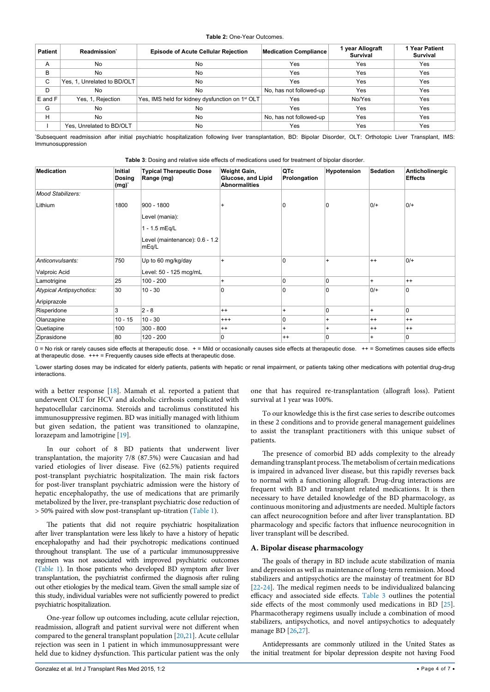#### <span id="page-3-0"></span>**Table 2:** One-Year Outcomes.

| <b>Patient</b> | Readmission <sup>*</sup>    | <b>Episode of Acute Cellular Rejection</b>                  | <b>Medication Compliance</b> | 1 year Allograft<br><b>Survival</b> | 1 Year Patient<br>Survival |
|----------------|-----------------------------|-------------------------------------------------------------|------------------------------|-------------------------------------|----------------------------|
| A              | No                          | No                                                          | Yes                          | Yes                                 | Yes                        |
| в              | No                          | No                                                          | Yes                          | Yes                                 | Yes                        |
| С              | Yes, 1, Unrelated to BD/OLT | No                                                          | Yes                          | Yes                                 | Yes                        |
| D              | No                          | No                                                          | No, has not followed-up      | Yes                                 | Yes                        |
| $E$ and $F$    | Yes, 1, Rejection           | Yes, IMS held for kidney dysfunction on 1 <sup>st</sup> OLT | Yes                          | No/Yes                              | Yes                        |
| G              | No                          | No                                                          | Yes                          | Yes                                 | Yes                        |
| Н              | No                          | No                                                          | No, has not followed-up      | Yes                                 | Yes                        |
|                | Yes. Unrelated to BD/OLT    | No                                                          | Yes                          | Yes                                 | Yes                        |

Subsequent readmission after initial psychiatric hospitalization following liver transplantation, BD: Bipolar Disorder, OLT: Orthotopic Liver Transplant, IMS: Immunosuppression

<span id="page-3-1"></span>

|  |  |  |  |  |  | Table 3: Dosing and relative side effects of medications used for treatment of bipolar disorder. |  |  |  |  |  |  |  |
|--|--|--|--|--|--|--------------------------------------------------------------------------------------------------|--|--|--|--|--|--|--|
|--|--|--|--|--|--|--------------------------------------------------------------------------------------------------|--|--|--|--|--|--|--|

| <b>Medication</b>                        | <b>Initial</b><br><b>Dosing</b><br>$(mg)^*$ | <b>Typical Therapeutic Dose</b><br>Range (mg)                                              | Weight Gain,<br>Glucose, and Lipid<br><b>Abnormalities</b> | QTc<br>Prolongation | Hypotension  | <b>Sedation</b> | Anticholinergic<br><b>Effects</b> |
|------------------------------------------|---------------------------------------------|--------------------------------------------------------------------------------------------|------------------------------------------------------------|---------------------|--------------|-----------------|-----------------------------------|
| Mood Stabilizers:                        |                                             |                                                                                            |                                                            |                     |              |                 |                                   |
| Lithium                                  | 1800                                        | $900 - 1800$<br>Level (mania):<br>1 - 1.5 mEq/L<br>Level (maintenance): 0.6 - 1.2<br>mEq/L | $\ddot{}$                                                  |                     | 0            | $0/+$           | $0/+$                             |
| Anticonvulsants:<br>Valproic Acid        | 750                                         | Up to 60 mg/kg/day<br>Level: 50 - 125 mcg/mL                                               | $\ddot{}$                                                  | $\mathbf{0}$        | $\ddot{}$    | $++$            | $0/+$                             |
| Lamotrigine                              | 25                                          | $100 - 200$                                                                                | $\ddot{}$                                                  | $\Omega$            | 0            | $\ddot{}$       | $++$                              |
| Atypical Antipsychotics:<br>Aripiprazole | 30                                          | $10 - 30$                                                                                  | 0                                                          | $\Omega$            | $\mathbf{0}$ | $0/$ +          | $\overline{0}$                    |
| Risperidone                              | 3                                           | $2 - 8$                                                                                    | $++$                                                       | $\ddot{}$           | $\mathbf 0$  | $+$             | 0                                 |
| Olanzapine                               | $10 - 15$                                   | $10 - 30$                                                                                  | $^{+++}$                                                   | 0                   | $\ddot{}$    | $^{++}$         | $++$                              |
| Quetiapine                               | 100                                         | $300 - 800$                                                                                | $++$                                                       | $+$                 | $+$          | $++$            | $++$                              |
| Ziprasidone                              | 80                                          | $120 - 200$                                                                                | 0                                                          | $++$                | 0            | $+$             | 0                                 |

0 = No risk or rarely causes side effects at therapeutic dose. + = Mild or occasionally causes side effects at therapeutic dose. ++ = Sometimes causes side effects at therapeutic dose. +++ = Frequently causes side effects at therapeutic dose.

Lower starting doses may be indicated for elderly patients, patients with hepatic or renal impairment, or patients taking other medications with potential drug-drug interactions.

with a better response [\[18\]](#page-5-16). Mamah et al. reported a patient that underwent OLT for HCV and alcoholic cirrhosis complicated with hepatocellular carcinoma. Steroids and tacrolimus constituted his immunosuppressive regimen. BD was initially managed with lithium but given sedation, the patient was transitioned to olanzapine, lorazepam and lamotrigine [\[19\]](#page-5-17).

In our cohort of 8 BD patients that underwent liver transplantation, the majority 7/8 (87.5%) were Caucasian and had varied etiologies of liver disease. Five (62.5%) patients required post-transplant psychiatric hospitalization. The main risk factors for post-liver transplant psychiatric admission were the history of hepatic encephalopathy, the use of medications that are primarily metabolized by the liver, pre-transplant psychiatric dose reduction of > 50% paired with slow post-transplant up-titration ([Table 1](#page-2-0)).

The patients that did not require psychiatric hospitalization after liver transplantation were less likely to have a history of hepatic encephalopathy and had their psychotropic medications continued throughout transplant. The use of a particular immunosuppressive regimen was not associated with improved psychiatric outcomes [\(Table 1\)](#page-2-0). In those patients who developed BD symptom after liver transplantation, the psychiatrist confirmed the diagnosis after ruling out other etiologies by the medical team. Given the small sample size of this study, individual variables were not sufficiently powered to predict psychiatric hospitalization.

One-year follow up outcomes including, acute cellular rejection, readmission, allograft and patient survival were not different when compared to the general transplant population [[20](#page-5-18)[,21\]](#page-6-0). Acute cellular rejection was seen in 1 patient in which immunosuppressant were held due to kidney dysfunction. This particular patient was the only

one that has required re-transplantation (allograft loss). Patient survival at 1 year was 100%.

To our knowledge this is the first case series to describe outcomes in these 2 conditions and to provide general management guidelines to assist the transplant practitioners with this unique subset of patients.

The presence of comorbid BD adds complexity to the already demanding transplant process. The metabolism of certain medications is impaired in advanced liver disease, but this rapidly reverses back to normal with a functioning allograft. Drug-drug interactions are frequent with BD and transplant related medications. It is then necessary to have detailed knowledge of the BD pharmacology, as continuous monitoring and adjustments are needed. Multiple factors can affect neurocognition before and after liver transplantation. BD pharmacology and specific factors that influence neurocognition in liver transplant will be described.

#### **A. Bipolar disease pharmacology**

The goals of therapy in BD include acute stabilization of mania and depression as well as maintenance of long-term remission. Mood stabilizers and antipsychotics are the mainstay of treatment for BD [[22](#page-6-1)-[24](#page-6-2)]. The medical regimen needs to be individualized balancing efficacy and associated side effects. [Table 3](#page-3-1) outlines the potential side effects of the most commonly used medications in BD [[25\]](#page-6-3). Pharmacotherapy regimens usually include a combination of mood stabilizers, antipsychotics, and novel antipsychotics to adequately manage BD [\[26,](#page-6-4)[27](#page-6-5)].

Antidepressants are commonly utilized in the United States as the initial treatment for bipolar depression despite not having Food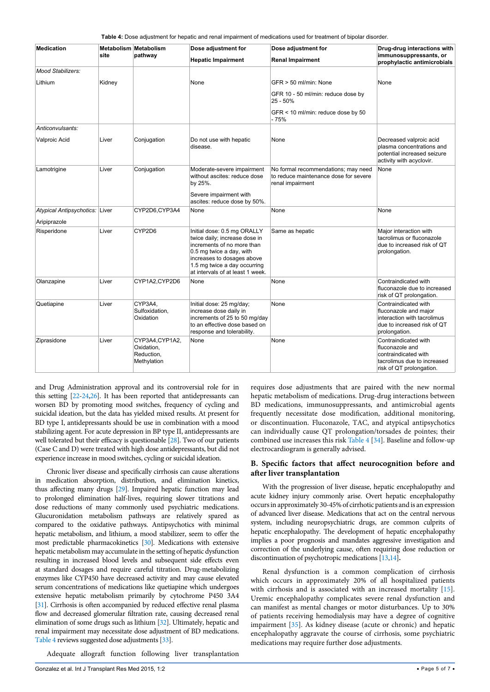<span id="page-4-0"></span>**Table 4:** Dose adjustment for hepatic and renal impairment of medications used for treatment of bipolar disorder.

| <b>Medication</b>                              |        | Metabolism Metabolism                                      | Dose adjustment for                                                                                                                                                                                                      | Dose adjustment for                                                                              | Drug-drug interactions with                                                                                                  |  |
|------------------------------------------------|--------|------------------------------------------------------------|--------------------------------------------------------------------------------------------------------------------------------------------------------------------------------------------------------------------------|--------------------------------------------------------------------------------------------------|------------------------------------------------------------------------------------------------------------------------------|--|
|                                                | site   | pathway                                                    | <b>Hepatic Impairment</b>                                                                                                                                                                                                | <b>Renal Impairment</b>                                                                          | immunosuppressants, or<br>prophylactic antimicrobials                                                                        |  |
| <b>Mood Stabilizers:</b>                       |        |                                                            |                                                                                                                                                                                                                          |                                                                                                  |                                                                                                                              |  |
| Lithium                                        | Kidney |                                                            | None                                                                                                                                                                                                                     | GFR > 50 ml/min: None                                                                            | None                                                                                                                         |  |
|                                                |        |                                                            |                                                                                                                                                                                                                          | GFR 10 - 50 ml/min: reduce dose by<br>$25 - 50%$                                                 |                                                                                                                              |  |
|                                                |        |                                                            |                                                                                                                                                                                                                          | GFR < 10 ml/min: reduce dose by 50<br>- 75%                                                      |                                                                                                                              |  |
| Anticonvulsants:                               |        |                                                            |                                                                                                                                                                                                                          |                                                                                                  |                                                                                                                              |  |
| <b>Valproic Acid</b>                           | Liver  | Conjugation                                                | Do not use with hepatic<br>disease.                                                                                                                                                                                      | None                                                                                             | Decreased valproic acid<br>plasma concentrations and<br>potential increased seizure<br>activity with acyclovir.              |  |
| Lamotrigine                                    | Liver  | Conjugation                                                | Moderate-severe impairment<br>without ascites: reduce dose<br>by 25%.<br>Severe impairment with<br>ascites: reduce dose by 50%.                                                                                          | No formal recommendations; may need<br>to reduce maintenance dose for severe<br>renal impairment | None                                                                                                                         |  |
| Atypical Antipsychotics: Liver<br>Aripiprazole |        | CYP2D6,CYP3A4                                              | None                                                                                                                                                                                                                     | None                                                                                             | None                                                                                                                         |  |
| Risperidone                                    | Liver  | CYP2D6                                                     | Initial dose: 0.5 mg ORALLY<br>twice daily; increase dose in<br>increments of no more than<br>0.5 mg twice a day, with<br>increases to dosages above<br>1.5 mg twice a day occurring<br>at intervals of at least 1 week. | Same as hepatic                                                                                  | Major interaction with<br>tacrolimus or fluconazole<br>due to increased risk of QT<br>prolongation.                          |  |
| Olanzapine                                     | Liver  | CYP1A2,CYP2D6                                              | None                                                                                                                                                                                                                     | None                                                                                             | Contraindicated with<br>fluconazole due to increased<br>risk of QT prolongation.                                             |  |
| Quetiapine                                     | Liver  | CYP3A4,<br>Sulfoxidation.<br>Oxidation                     | Initial dose: 25 mg/day;<br>increase dose daily in<br>increments of 25 to 50 mg/day<br>to an effective dose based on<br>response and tolerability.                                                                       | None                                                                                             | Contraindicated with<br>fluconazole and major<br>interaction with tacrolimus<br>due to increased risk of QT<br>prolongation. |  |
| Ziprasidone                                    | Liver  | CYP3A4, CYP1A2,<br>Oxidation,<br>Reduction,<br>Methylation | None                                                                                                                                                                                                                     | None                                                                                             | Contraindicated with<br>fluconazole and<br>contraindicated with<br>tacrolimus due to increased<br>risk of QT prolongation.   |  |

and Drug Administration approval and its controversial role for in this setting [\[22](#page-6-1)-[24,](#page-6-2)[26\]](#page-6-4). It has been reported that antidepressants can worsen BD by promoting mood switches, frequency of cycling and suicidal ideation, but the data has yielded mixed results. At present for BD type I, antidepressants should be use in combination with a mood stabilizing agent. For acute depression in BP type II, antidepressants are well tolerated but their efficacy is questionable [\[28](#page-6-6)]. Two of our patients (Case C and D) were treated with high dose antidepressants, but did not experience increase in mood switches, cycling or suicidal ideation.

Chronic liver disease and specifically cirrhosis can cause alterations in medication absorption, distribution, and elimination kinetics, thus affecting many drugs [[29\]](#page-6-7). Impaired hepatic function may lead to prolonged elimination half-lives, requiring slower titrations and dose reductions of many commonly used psychiatric medications. Glucuronidation metabolism pathways are relatively spared as compared to the oxidative pathways. Antipsychotics with minimal hepatic metabolism, and lithium, a mood stabilizer, seem to offer the most predictable pharmacokinetics [\[30](#page-6-8)]. Medications with extensive hepatic metabolism may accumulate in the setting of hepatic dysfunction resulting in increased blood levels and subsequent side effects even at standard dosages and require careful titration. Drug-metabolizing enzymes like CYP450 have decreased activity and may cause elevated serum concentrations of medications like quetiapine which undergoes extensive hepatic metabolism primarily by cytochrome P450 3A4 [\[31\]](#page-6-9). Cirrhosis is often accompanied by reduced effective renal plasma flow and decreased glomerular filtration rate, causing decreased renal elimination of some drugs such as lithium [\[32](#page-6-10)]. Ultimately, hepatic and renal impairment may necessitate dose adjustment of BD medications. [Table 4](#page-4-0) reviews suggested dose adjustments [\[33](#page-6-11)].

Adequate allograft function following liver transplantation

requires dose adjustments that are paired with the new normal hepatic metabolism of medications. Drug-drug interactions between BD medications, immunosuppressants, and antimicrobial agents frequently necessitate dose modification, additional monitoring, or discontinuation. Fluconazole, TAC, and atypical antipsychotics can individually cause QT prolongation/torsades de pointes; their combined use increases this risk [Table 4](#page-4-0) [[34\]](#page-6-12). Baseline and follow-up electrocardiogram is generally advised.

#### **B. Specific factors that affect neurocognition before and after liver transplantation**

With the progression of liver disease, hepatic encephalopathy and acute kidney injury commonly arise. Overt hepatic encephalopathy occurs in approximately 30-45% of cirrhotic patients and is an expression of advanced liver disease. Medications that act on the central nervous system, including neuropsychiatric drugs, are common culprits of hepatic encephalopathy. The development of hepatic encephalopathy implies a poor prognosis and mandates aggressive investigation and correction of the underlying cause, often requiring dose reduction or discontinuation of psychotropic medications [\[13,](#page-5-12)[14\]](#page-5-19)**.**

Renal dysfunction is a common complication of cirrhosis which occurs in approximately 20% of all hospitalized patients with cirrhosis and is associated with an increased mortality [[15\]](#page-5-13). Uremic encephalopathy complicates severe renal dysfunction and can manifest as mental changes or motor disturbances. Up to 30% of patients receiving hemodialysis may have a degree of cognitive impairment [[35\]](#page-6-13). As kidney disease (acute or chronic) and hepatic encephalopathy aggravate the course of cirrhosis, some psychiatric medications may require further dose adjustments.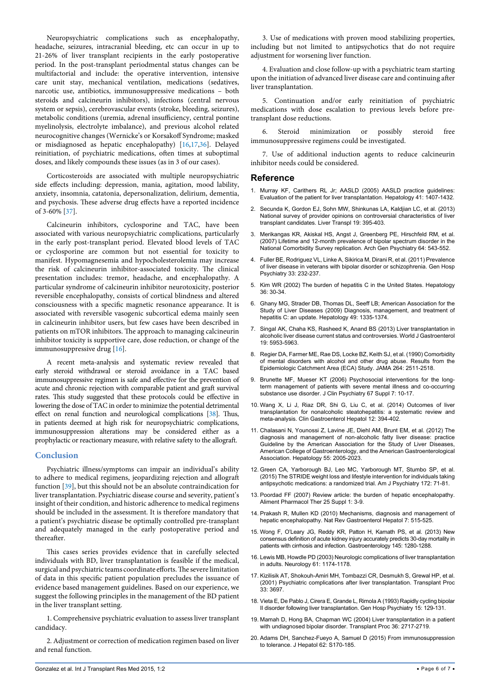Neuropsychiatric complications such as encephalopathy, headache, seizures, intracranial bleeding, etc can occur in up to 21-26% of liver transplant recipients in the early postoperative period. In the post-transplant periodmental status changes can be multifactorial and include: the operative intervention, intensive care unit stay, mechanical ventilation, medications (sedatives, narcotic use, antibiotics, immunosuppressive medications – both steroids and calcineurin inhibitors), infections (central nervous system or sepsis), cerebrovascular events (stroke, bleeding, seizures), metabolic conditions (uremia, adrenal insufficiency, central pontine myelinolysis, electrolyte imbalance), and previous alcohol related neurocognitive changes (Wernicke's or Korsakoff Syndrome; masked or misdiagnosed as hepatic encephalopathy) [\[16,](#page-5-14)[17,](#page-5-15)[36](#page-6-14)]. Delayed reinitiation, of psychiatric medications, often times at suboptimal doses, and likely compounds these issues (as in 3 of our cases).

Corticosteroids are associated with multiple neuropsychiatric side effects including: depression, mania, agitation, mood lability, anxiety, insomnia, catatonia, depersonalization, delirium, dementia, and psychosis. These adverse drug effects have a reported incidence of 3-60% [[37\]](#page-6-15).

Calcineurin inhibitors, cyclosporine and TAC, have been associated with various neuropsychiatric complications, particularly in the early post-transplant period. Elevated blood levels of TAC or cyclosporine are common but not essential for toxicity to manifest. Hypomagnesemia and hypocholesterolemia may increase the risk of calcineurin inhibitor-associated toxicity. The clinical presentation includes: tremor, headache, and encephalopathy. A particular syndrome of calcineurin inhibitor neurotoxicity, posterior reversible encephalopathy, consists of cortical blindness and altered consciousness with a specific magnetic resonance appearance. It is associated with reversible vasogenic subcortical edema mainly seen in calcineurin inhibitor users, but few cases have been described in patients on mTOR inhibitors. The approach to managing calcineurin inhibitor toxicity is supportive care, dose reduction, or change of the immunosuppressive drug [[16\]](#page-5-14).

A recent meta-analysis and systematic review revealed that early steroid withdrawal or steroid avoidance in a TAC based immunosuppressive regimen is safe and effective for the prevention of acute and chronic rejection with comparable patient and graft survival rates. This study suggested that these protocols could be effective in lowering the dose of TAC in order to minimize the potential detrimental effect on renal function and neurological complications [\[38](#page-6-16)]. Thus, in patients deemed at high risk for neuropsychiatric complications, immunosuppression alterations may be considered either as a prophylactic or reactionary measure, with relative safety to the allograft.

#### **Conclusion**

Psychiatric illness/symptoms can impair an individual's ability to adhere to medical regimens, jeopardizing rejection and allograft function [\[39](#page-6-17)], but this should not be an absolute contraindication for liver transplantation. Psychiatric disease course and severity, patient's insight of their condition, and historic adherence to medical regimens should be included in the assessment. It is therefore mandatory that a patient's psychiatric disease be optimally controlled pre-transplant and adequately managed in the early postoperative period and thereafter.

This cases series provides evidence that in carefully selected individuals with BD, liver transplantation is feasible if the medical, surgical and psychiatric teams coordinate efforts. The severe limitation of data in this specific patient population precludes the issuance of evidence based management guidelines. Based on our experience, we suggest the following principles in the management of the BD patient in the liver transplant setting.

1. Comprehensive psychiatric evaluation to assess liver transplant candidacy.

2. Adjustment or correction of medication regimen based on liver and renal function.

3. Use of medications with proven mood stabilizing properties, including but not limited to antipsychotics that do not require adjustment for worsening liver function.

4. Evaluation and close follow-up with a psychiatric team starting upon the initiation of advanced liver disease care and continuing after liver transplantation.

5. Continuation and/or early reinitiation of psychiatric medications with dose escalation to previous levels before pretransplant dose reductions.

6. Steroid minimization or possibly steroid free immunosuppressive regimens could be investigated.

7. Use of additional induction agents to reduce calcineurin inhibitor needs could be considered.

#### **Reference**

- <span id="page-5-0"></span>1. [Murray KF, Carithers RL Jr; AASLD \(2005\) AASLD practice guidelines:](http://www.ncbi.nlm.nih.gov/pubmed/15880505)  [Evaluation of the patient for liver transplantation. Hepatology 41: 1407-1432.](http://www.ncbi.nlm.nih.gov/pubmed/15880505)
- <span id="page-5-1"></span>2. [Secunda K, Gordon EJ, Sohn MW, Shinkunas LA, Kaldjian LC, et al. \(2013\)](http://www.ncbi.nlm.nih.gov/pubmed/23197388)  [National survey of provider opinions on controversial characteristics of liver](http://www.ncbi.nlm.nih.gov/pubmed/23197388)  [transplant candidates. Liver Transpl 19: 395-403.](http://www.ncbi.nlm.nih.gov/pubmed/23197388)
- <span id="page-5-2"></span>3. [Merikangas KR, Akiskal HS, Angst J, Greenberg PE, Hirschfeld RM, et al.](http://www.ncbi.nlm.nih.gov/pubmed/17485606)  [\(2007\) Lifetime and 12-month prevalence of bipolar spectrum disorder in the](http://www.ncbi.nlm.nih.gov/pubmed/17485606)  [National Comorbidity Survey replication. Arch Gen Psychiatry 64: 543-552.](http://www.ncbi.nlm.nih.gov/pubmed/17485606)
- <span id="page-5-3"></span>4. Fuller BE, Rodriguez VL, Linke A, Sikirica M, Dirani R, et al. (2011) Prevalence of liver disease in veterans with bipolar disorder or schizophrenia. Gen Hosp Psychiatry 33: 232-237.
- <span id="page-5-4"></span>5. [Kim WR \(2002\) The burden of hepatitis C in the United States. Hepatology](http://www.ncbi.nlm.nih.gov/pubmed/12407574)  [36: 30-34.](http://www.ncbi.nlm.nih.gov/pubmed/12407574)
- <span id="page-5-5"></span>6. [Ghany MG, Strader DB, Thomas DL, Seeff LB; American Association for the](http://www.ncbi.nlm.nih.gov/pubmed/19330875)  [Study of Liver Diseases \(2009\) Diagnosis, management, and treatment of](http://www.ncbi.nlm.nih.gov/pubmed/19330875)  [hepatitis C: an update. Hepatology 49: 1335-1374.](http://www.ncbi.nlm.nih.gov/pubmed/19330875)
- <span id="page-5-6"></span>7. [Singal AK, Chaha KS, Rasheed K, Anand BS \(2013\) Liver transplantation in](http://www.ncbi.nlm.nih.gov/pubmed/24106395)  [alcoholic liver disease current status and controversies. World J Gastroenterol](http://www.ncbi.nlm.nih.gov/pubmed/24106395)  [19: 5953-5963.](http://www.ncbi.nlm.nih.gov/pubmed/24106395)
- <span id="page-5-7"></span>8. [Regier DA, Farmer ME, Rae DS, Locke BZ, Keith SJ, et al. \(1990\) Comorbidity](http://www.ncbi.nlm.nih.gov/pubmed/2232018)  [of mental disorders with alcohol and other drug abuse. Results from the](http://www.ncbi.nlm.nih.gov/pubmed/2232018)  [Epidemiologic Catchment Area \(ECA\) Study. JAMA 264: 2511-2518.](http://www.ncbi.nlm.nih.gov/pubmed/2232018)
- <span id="page-5-8"></span>9. [Brunette MF, Mueser KT \(2006\) Psychosocial interventions for the long](http://www.ncbi.nlm.nih.gov/pubmed/16961419)[term management of patients with severe mental illness and co-occurring](http://www.ncbi.nlm.nih.gov/pubmed/16961419)  [substance use disorder. J Clin Psychiatry 67 Suppl 7: 10-17.](http://www.ncbi.nlm.nih.gov/pubmed/16961419)
- <span id="page-5-9"></span>10. [Wang X, Li J, Riaz DR, Shi G, Liu C, et al. \(2014\) Outcomes of liver](http://www.ncbi.nlm.nih.gov/pubmed/24076414)  [transplantation for nonalcoholic steatohepatitis: a systematic review and](http://www.ncbi.nlm.nih.gov/pubmed/24076414)  [meta-analysis. Clin Gastroenterol Hepatol 12: 394-402.](http://www.ncbi.nlm.nih.gov/pubmed/24076414)
- <span id="page-5-10"></span>11. [Chalasani N, Younossi Z, Lavine JE, Diehl AM, Brunt EM, et al. \(2012\) The](http://www.ncbi.nlm.nih.gov/pubmed/22488764)  [diagnosis and management of non-alcoholic fatty liver disease: practice](http://www.ncbi.nlm.nih.gov/pubmed/22488764)  [Guideline by the American Association for the Study of Liver Diseases,](http://www.ncbi.nlm.nih.gov/pubmed/22488764)  [American College of Gastroenterology, and the American Gastroenterological](http://www.ncbi.nlm.nih.gov/pubmed/22488764)  [Association. Hepatology 55: 2005-2023.](http://www.ncbi.nlm.nih.gov/pubmed/22488764)
- <span id="page-5-11"></span>12. [Green CA, Yarborough BJ, Leo MC, Yarborough MT, Stumbo SP, et al.](http://www.ncbi.nlm.nih.gov/pubmed/25219423)  [\(2015\) The STRIDE weight loss and lifestyle intervention for individuals taking](http://www.ncbi.nlm.nih.gov/pubmed/25219423)  [antipsychotic medications: a randomized trial. Am J Psychiatry 172: 71-81.](http://www.ncbi.nlm.nih.gov/pubmed/25219423)
- <span id="page-5-12"></span>13. [Poordad FF \(2007\) Review article: the burden of hepatic encephalopathy.](http://www.ncbi.nlm.nih.gov/pubmed/17295846)  [Aliment Pharmacol Ther 25 Suppl 1: 3-9.](http://www.ncbi.nlm.nih.gov/pubmed/17295846)
- <span id="page-5-19"></span>14. [Prakash R, Mullen KD \(2010\) Mechanisms, diagnosis and management of](http://www.ncbi.nlm.nih.gov/pubmed/20703237)  [hepatic encephalopathy. Nat Rev Gastroenterol Hepatol 7: 515-525.](http://www.ncbi.nlm.nih.gov/pubmed/20703237)
- <span id="page-5-13"></span>15. [Wong F, O'Leary JG, Reddy KR, Patton H, Kamath PS, et al. \(2013\) New](http://www.ncbi.nlm.nih.gov/pubmed/23999172)  [consensus definition of acute kidney injury accurately predicts 30-day mortality in](http://www.ncbi.nlm.nih.gov/pubmed/23999172)  [patients with cirrhosis and infection. Gastroenterology 145: 1280-1288.](http://www.ncbi.nlm.nih.gov/pubmed/23999172)
- <span id="page-5-14"></span>16. [Lewis MB, Howdle PD \(2003\) Neurologic complications of liver transplantation](http://www.ncbi.nlm.nih.gov/pubmed/14610116)  [in adults. Neurology 61: 1174-1178.](http://www.ncbi.nlm.nih.gov/pubmed/14610116)
- <span id="page-5-15"></span>17. [Kizilisik AT, Shokouh-Amiri MH, Tombazzi CR, Desmukh S, Grewal HP, et al.](http://www.ncbi.nlm.nih.gov/pubmed/11750575)  [\(2001\) Psychiatric complications after liver transplantation. Transplant Proc](http://www.ncbi.nlm.nih.gov/pubmed/11750575)  [33: 3697.](http://www.ncbi.nlm.nih.gov/pubmed/11750575)
- <span id="page-5-16"></span>18. [Vieta E, De Pablo J, Cirera E, Grande L, Rimola A \(1993\) Rapidly cycling bipolar](http://www.ncbi.nlm.nih.gov/pubmed/8472941)  [II disorder following liver transplantation. Gen Hosp Psychiatry 15: 129-131.](http://www.ncbi.nlm.nih.gov/pubmed/8472941)
- <span id="page-5-17"></span>19. [Mamah D, Hong BA, Chapman WC \(2004\) Liver transplantation in a patient](http://www.ncbi.nlm.nih.gov/pubmed/15621132)  [with undiagnosed bipolar disorder. Transplant Proc 36: 2717-2719.](http://www.ncbi.nlm.nih.gov/pubmed/15621132)
- <span id="page-5-18"></span>20. [Adams DH, Sanchez-Fueyo A, Samuel D \(2015\) From immunosuppression](http://www.ncbi.nlm.nih.gov/pubmed/25920086)  [to tolerance. J Hepatol 62: S170-185.](http://www.ncbi.nlm.nih.gov/pubmed/25920086)